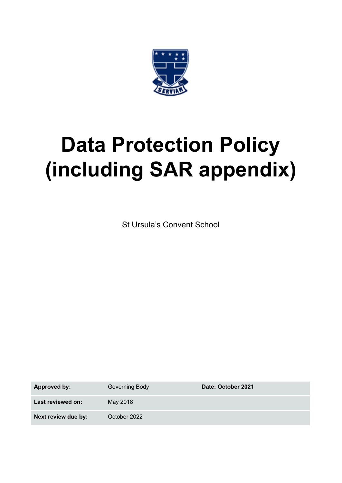

# **Data Protection Policy (including SAR appendix)**

St Ursula's Convent School

**Approved by:** Governing Body **Date:** October 2021 **Last reviewed on:** May 2018 **Next review due by:** October 2022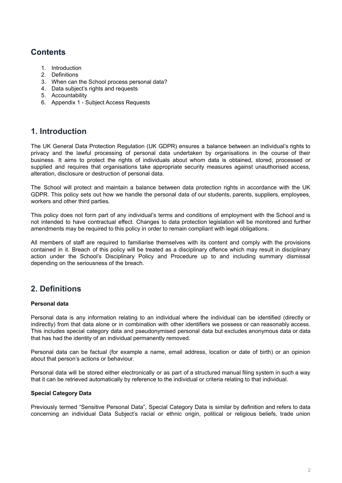# **Contents**

- 1. Introduction
- 2. Definitions
- 3. When can the School process personal data?
- 4. Data subject's rights and requests
- 5. Accountability
- 6. Appendix 1 Subject Access Requests

# **1. Introduction**

The UK General Data Protection Regulation (UK GDPR) ensures a balance between an individual's rights to privacy and the lawful processing of personal data undertaken by organisations in the course of their business. It aims to protect the rights of individuals about whom data is obtained, stored, processed or supplied and requires that organisations take appropriate security measures against unauthorised access, alteration, disclosure or destruction of personal data.

The School will protect and maintain a balance between data protection rights in accordance with the UK GDPR. This policy sets out how we handle the personal data of our students, parents, suppliers, employees, workers and other third parties.

This policy does not form part of any individual's terms and conditions of employment with the School and is not intended to have contractual effect. Changes to data protection legislation will be monitored and further amendments may be required to this policy in order to remain compliant with legal obligations.

All members of staff are required to familiarise themselves with its content and comply with the provisions contained in it. Breach of this policy will be treated as a disciplinary offence which may result in disciplinary action under the School's Disciplinary Policy and Procedure up to and including summary dismissal depending on the seriousness of the breach.

# **2. Definitions**

# **Personal data**

Personal data is any information relating to an individual where the individual can be identified (directly or indirectly) from that data alone or in combination with other identifiers we possess or can reasonably access. This includes special category data and pseudonymised personal data but excludes anonymous data or data that has had the identity of an individual permanently removed.

Personal data can be factual (for example a name, email address, location or date of birth) or an opinion about that person's actions or behaviour.

Personal data will be stored either electronically or as part of a structured manual filing system in such a way that it can be retrieved automatically by reference to the individual or criteria relating to that individual.

# **Special Category Data**

Previously termed "Sensitive Personal Data", Special Category Data is similar by definition and refers to data concerning an individual Data Subject's racial or ethnic origin, political or religious beliefs, trade union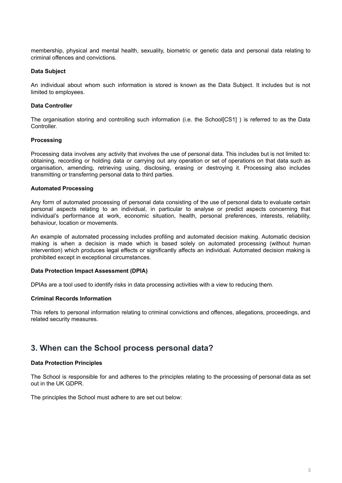membership, physical and mental health, sexuality, biometric or genetic data and personal data relating to criminal offences and convictions.

### **Data Subject**

An individual about whom such information is stored is known as the Data Subject. It includes but is not limited to employees.

### **Data Controller**

The organisation storing and controlling such information (i.e. the School[CS1] ) is referred to as the Data Controller.

### **Processing**

Processing data involves any activity that involves the use of personal data. This includes but is not limited to: obtaining, recording or holding data or carrying out any operation or set of operations on that data such as organisation, amending, retrieving using, disclosing, erasing or destroying it. Processing also includes transmitting or transferring personal data to third parties.

### **Automated Processing**

Any form of automated processing of personal data consisting of the use of personal data to evaluate certain personal aspects relating to an individual, in particular to analyse or predict aspects concerning that individual's performance at work, economic situation, health, personal preferences, interests, reliability, behaviour, location or movements.

An example of automated processing includes profiling and automated decision making. Automatic decision making is when a decision is made which is based solely on automated processing (without human intervention) which produces legal effects or significantly affects an individual. Automated decision making is prohibited except in exceptional circumstances.

### **Data Protection Impact Assessment (DPIA)**

DPIAs are a tool used to identify risks in data processing activities with a view to reducing them.

### **Criminal Records Information**

This refers to personal information relating to criminal convictions and offences, allegations, proceedings, and related security measures.

# **3. When can the School process personal data?**

### **Data Protection Principles**

The School is responsible for and adheres to the principles relating to the processing of personal data as set out in the UK GDPR.

The principles the School must adhere to are set out below: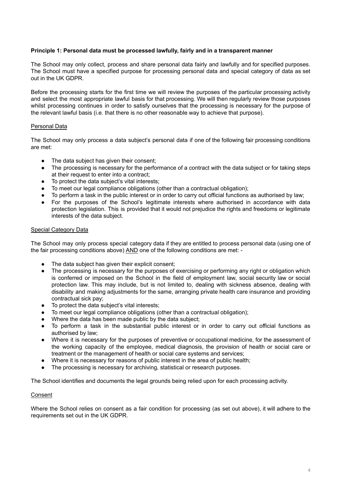### **Principle 1: Personal data must be processed lawfully, fairly and in a transparent manner**

The School may only collect, process and share personal data fairly and lawfully and for specified purposes. The School must have a specified purpose for processing personal data and special category of data as set out in the UK GDPR.

Before the processing starts for the first time we will review the purposes of the particular processing activity and select the most appropriate lawful basis for that processing. We will then regularly review those purposes whilst processing continues in order to satisfy ourselves that the processing is necessary for the purpose of the relevant lawful basis (i.e. that there is no other reasonable way to achieve that purpose).

### Personal Data

The School may only process a data subject's personal data if one of the following fair processing conditions are met:

- The data subject has given their consent:
- The processing is necessary for the performance of a contract with the data subject or for taking steps at their request to enter into a contract;
- To protect the data subject's vital interests;
- To meet our legal compliance obligations (other than a contractual obligation);
- To perform a task in the public interest or in order to carry out official functions as authorised by law;
- For the purposes of the School's legitimate interests where authorised in accordance with data protection legislation. This is provided that it would not prejudice the rights and freedoms or legitimate interests of the data subject.

### Special Category Data

The School may only process special category data if they are entitled to process personal data (using one of the fair processing conditions above) AND one of the following conditions are met: -

- The data subject has given their explicit consent;
- The processing is necessary for the purposes of exercising or performing any right or obligation which is conferred or imposed on the School in the field of employment law, social security law or social protection law. This may include, but is not limited to, dealing with sickness absence, dealing with disability and making adjustments for the same, arranging private health care insurance and providing contractual sick pay;
- To protect the data subject's vital interests;
- To meet our legal compliance obligations (other than a contractual obligation);
- Where the data has been made public by the data subject;
- To perform a task in the substantial public interest or in order to carry out official functions as authorised by law;
- Where it is necessary for the purposes of preventive or occupational medicine, for the assessment of the working capacity of the employee, medical diagnosis, the provision of health or social care or treatment or the management of health or social care systems and services;
- Where it is necessary for reasons of public interest in the area of public health;
- The processing is necessary for archiving, statistical or research purposes.

The School identifies and documents the legal grounds being relied upon for each processing activity.

### Consent

Where the School relies on consent as a fair condition for processing (as set out above), it will adhere to the requirements set out in the UK GDPR.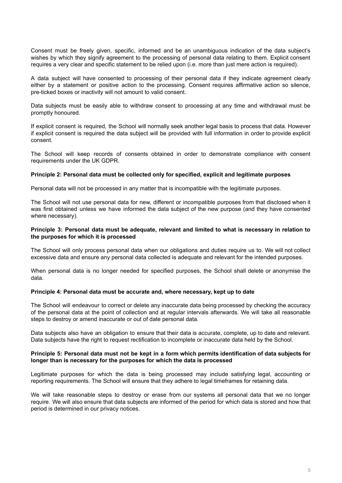Consent must be freely given, specific, informed and be an unambiguous indication of the data subject's wishes by which they signify agreement to the processing of personal data relating to them. Explicit consent requires a very clear and specific statement to be relied upon (i.e. more than just mere action is required).

A data subject will have consented to processing of their personal data if they indicate agreement clearly either by a statement or positive action to the processing. Consent requires affirmative action so silence, pre-ticked boxes or inactivity will not amount to valid consent.

Data subjects must be easily able to withdraw consent to processing at any time and withdrawal must be promptly honoured.

If explicit consent is required, the School will normally seek another legal basis to process that data. However if explicit consent is required the data subject will be provided with full information in order to provide explicit consent.

The School will keep records of consents obtained in order to demonstrate compliance with consent requirements under the UK GDPR.

### **Principle 2: Personal data must be collected only for specified, explicit and legitimate purposes**

Personal data will not be processed in any matter that is incompatible with the legitimate purposes.

The School will not use personal data for new, different or incompatible purposes from that disclosed when it was first obtained unless we have informed the data subject of the new purpose (and they have consented where necessary).

### **Principle 3: Personal data must be adequate, relevant and limited to what is necessary in relation to the purposes for which it is processed**

The School will only process personal data when our obligations and duties require us to. We will not collect excessive data and ensure any personal data collected is adequate and relevant for the intended purposes.

When personal data is no longer needed for specified purposes, the School shall delete or anonymise the data.

# **Principle 4: Personal data must be accurate and, where necessary, kept up to date**

The School will endeavour to correct or delete any inaccurate data being processed by checking the accuracy of the personal data at the point of collection and at regular intervals afterwards. We will take all reasonable steps to destroy or amend inaccurate or out of date personal data.

Data subjects also have an obligation to ensure that their data is accurate, complete, up to date and relevant. Data subjects have the right to request rectification to incomplete or inaccurate data held by the School.

### Principle 5: Personal data must not be kept in a form which permits identification of data subjects for **longer than is necessary for the purposes for which the data is processed**

Legitimate purposes for which the data is being processed may include satisfying legal, accounting or reporting requirements. The School will ensure that they adhere to legal timeframes for retaining data.

We will take reasonable steps to destroy or erase from our systems all personal data that we no longer require. We will also ensure that data subjects are informed of the period for which data is stored and how that period is determined in our privacy notices.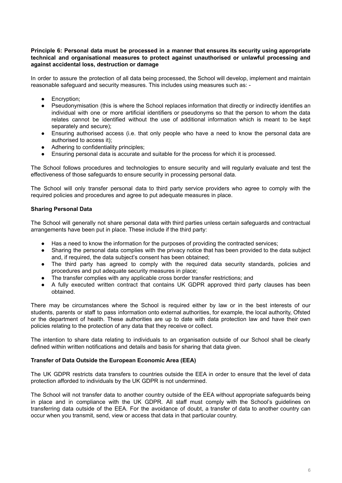### **Principle 6: Personal data must be processed in a manner that ensures its security using appropriate technical and organisational measures to protect against unauthorised or unlawful processing and against accidental loss, destruction or damage**

In order to assure the protection of all data being processed, the School will develop, implement and maintain reasonable safeguard and security measures. This includes using measures such as: -

- Encryption;
- Pseudonymisation (this is where the School replaces information that directly or indirectly identifies an individual with one or more artificial identifiers or pseudonyms so that the person to whom the data relates cannot be identified without the use of additional information which is meant to be kept separately and secure);
- Ensuring authorised access (i.e. that only people who have a need to know the personal data are authorised to access it);
- Adhering to confidentiality principles;
- Ensuring personal data is accurate and suitable for the process for which it is processed.

The School follows procedures and technologies to ensure security and will regularly evaluate and test the effectiveness of those safeguards to ensure security in processing personal data.

The School will only transfer personal data to third party service providers who agree to comply with the required policies and procedures and agree to put adequate measures in place.

# **Sharing Personal Data**

The School will generally not share personal data with third parties unless certain safeguards and contractual arrangements have been put in place. These include if the third party:

- Has a need to know the information for the purposes of providing the contracted services;
- Sharing the personal data complies with the privacy notice that has been provided to the data subject and, if required, the data subject's consent has been obtained;
- The third party has agreed to comply with the required data security standards, policies and procedures and put adequate security measures in place;
- The transfer complies with any applicable cross border transfer restrictions; and
- A fully executed written contract that contains UK GDPR approved third party clauses has been obtained.

There may be circumstances where the School is required either by law or in the best interests of our students, parents or staff to pass information onto external authorities, for example, the local authority, Ofsted or the department of health. These authorities are up to date with data protection law and have their own policies relating to the protection of any data that they receive or collect.

The intention to share data relating to individuals to an organisation outside of our School shall be clearly defined within written notifications and details and basis for sharing that data given.

# **Transfer of Data Outside the European Economic Area (EEA)**

The UK GDPR restricts data transfers to countries outside the EEA in order to ensure that the level of data protection afforded to individuals by the UK GDPR is not undermined.

The School will not transfer data to another country outside of the EEA without appropriate safeguards being in place and in compliance with the UK GDPR. All staff must comply with the School's guidelines on transferring data outside of the EEA. For the avoidance of doubt, a transfer of data to another country can occur when you transmit, send, view or access that data in that particular country.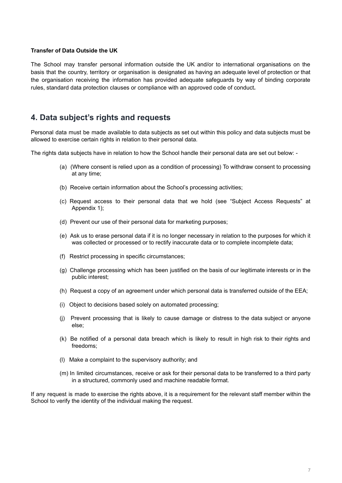### **Transfer of Data Outside the UK**

The School may transfer personal information outside the UK and/or to international organisations on the basis that the country, territory or organisation is designated as having an adequate level of protection or that the organisation receiving the information has provided adequate safeguards by way of binding corporate rules, standard data protection clauses or compliance with an approved code of conduct**.**

# **4. Data subject's rights and requests**

Personal data must be made available to data subjects as set out within this policy and data subjects must be allowed to exercise certain rights in relation to their personal data.

The rights data subjects have in relation to how the School handle their personal data are set out below: -

- (a) (Where consent is relied upon as a condition of processing) To withdraw consent to processing at any time;
- (b) Receive certain information about the School's processing activities;
- (c) Request access to their personal data that we hold (see "Subject Access Requests" at Appendix 1);
- (d) Prevent our use of their personal data for marketing purposes;
- (e) Ask us to erase personal data if it is no longer necessary in relation to the purposes for which it was collected or processed or to rectify inaccurate data or to complete incomplete data;
- (f) Restrict processing in specific circumstances;
- (g) Challenge processing which has been justified on the basis of our legitimate interests or in the public interest;
- (h) Request a copy of an agreement under which personal data is transferred outside of the EEA;
- (i) Object to decisions based solely on automated processing;
- (j) Prevent processing that is likely to cause damage or distress to the data subject or anyone else;
- (k) Be notified of a personal data breach which is likely to result in high risk to their rights and freedoms;
- (l) Make a complaint to the supervisory authority; and
- (m) In limited circumstances, receive or ask for their personal data to be transferred to a third party in a structured, commonly used and machine readable format.

If any request is made to exercise the rights above, it is a requirement for the relevant staff member within the School to verify the identity of the individual making the request.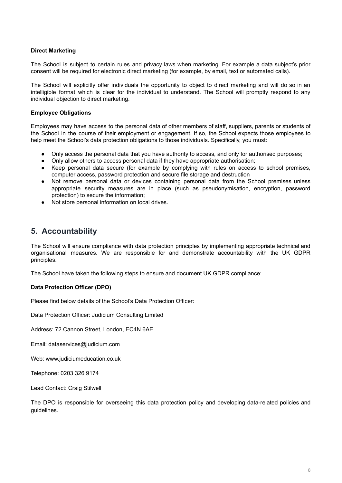# **Direct Marketing**

The School is subject to certain rules and privacy laws when marketing. For example a data subject's prior consent will be required for electronic direct marketing (for example, by email, text or automated calls).

The School will explicitly offer individuals the opportunity to object to direct marketing and will do so in an intelligible format which is clear for the individual to understand. The School will promptly respond to any individual objection to direct marketing.

### **Employee Obligations**

Employees may have access to the personal data of other members of staff, suppliers, parents or students of the School in the course of their employment or engagement. If so, the School expects those employees to help meet the School's data protection obligations to those individuals. Specifically, you must:

- Only access the personal data that you have authority to access, and only for authorised purposes;
- Only allow others to access personal data if they have appropriate authorisation;
- Keep personal data secure (for example by complying with rules on access to school premises, computer access, password protection and secure file storage and destruction
- Not remove personal data or devices containing personal data from the School premises unless appropriate security measures are in place (such as pseudonymisation, encryption, password protection) to secure the information;
- Not store personal information on local drives.

# **5. Accountability**

The School will ensure compliance with data protection principles by implementing appropriate technical and organisational measures. We are responsible for and demonstrate accountability with the UK GDPR principles.

The School have taken the following steps to ensure and document UK GDPR compliance:

# **Data Protection Officer (DPO)**

Please find below details of the School's Data Protection Officer:

Data Protection Officer: Judicium Consulting Limited

Address: 72 Cannon Street, London, EC4N 6AE

Email: dataservices@judicium.com

Web: www.judiciumeducation.co.uk

Telephone: 0203 326 9174

Lead Contact: Craig Stilwell

The DPO is responsible for overseeing this data protection policy and developing data-related policies and guidelines.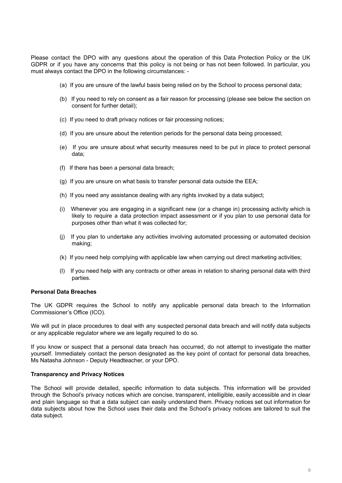Please contact the DPO with any questions about the operation of this Data Protection Policy or the UK GDPR or if you have any concerns that this policy is not being or has not been followed. In particular, you must always contact the DPO in the following circumstances: -

- (a) If you are unsure of the lawful basis being relied on by the School to process personal data;
- (b) If you need to rely on consent as a fair reason for processing (please see below the section on consent for further detail);
- (c) If you need to draft privacy notices or fair processing notices;
- (d) If you are unsure about the retention periods for the personal data being processed;
- (e) If you are unsure about what security measures need to be put in place to protect personal data;
- (f) If there has been a personal data breach;
- (g) If you are unsure on what basis to transfer personal data outside the EEA;
- (h) If you need any assistance dealing with any rights invoked by a data subject;
- (i) Whenever you are engaging in a significant new (or a change in) processing activity which is likely to require a data protection impact assessment or if you plan to use personal data for purposes other than what it was collected for;
- (j) If you plan to undertake any activities involving automated processing or automated decision making;
- (k) If you need help complying with applicable law when carrying out direct marketing activities;
- (l) If you need help with any contracts or other areas in relation to sharing personal data with third parties.

### **Personal Data Breaches**

The UK GDPR requires the School to notify any applicable personal data breach to the Information Commissioner's Office (ICO).

We will put in place procedures to deal with any suspected personal data breach and will notify data subjects or any applicable regulator where we are legally required to do so.

If you know or suspect that a personal data breach has occurred, do not attempt to investigate the matter yourself. Immediately contact the person designated as the key point of contact for personal data breaches, Ms Natasha Johnson - Deputy Headteacher, or your DPO.

### **Transparency and Privacy Notices**

The School will provide detailed, specific information to data subjects. This information will be provided through the School's privacy notices which are concise, transparent, intelligible, easily accessible and in clear and plain language so that a data subject can easily understand them. Privacy notices set out information for data subjects about how the School uses their data and the School's privacy notices are tailored to suit the data subject.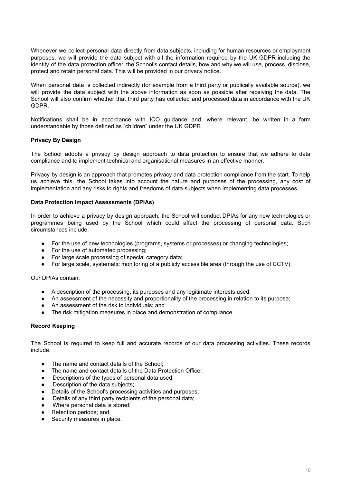Whenever we collect personal data directly from data subjects, including for human resources or employment purposes, we will provide the data subject with all the information required by the UK GDPR including the identity of the data protection officer, the School's contact details, how and why we will use, process, disclose, protect and retain personal data. This will be provided in our privacy notice.

When personal data is collected indirectly (for example from a third party or publically available source), we will provide the data subject with the above information as soon as possible after receiving the data. The School will also confirm whether that third party has collected and processed data in accordance with the UK GDPR.

Notifications shall be in accordance with ICO guidance and, where relevant, be written in a form understandable by those defined as "children" under the UK GDPR

# **Privacy By Design**

The School adopts a privacy by design approach to data protection to ensure that we adhere to data compliance and to implement technical and organisational measures in an effective manner.

Privacy by design is an approach that promotes privacy and data protection compliance from the start. To help us achieve this, the School takes into account the nature and purposes of the processing, any cost of implementation and any risks to rights and freedoms of data subjects when implementing data processes.

# **Data Protection Impact Assessments (DPIAs)**

In order to achieve a privacy by design approach, the School will conduct DPIAs for any new technologies or programmes being used by the School which could affect the processing of personal data. Such circumstances include:

- For the use of new technologies (programs, systems or processes) or changing technologies;
- For the use of automated processing;
- For large scale processing of special category data;
- For large scale, systematic monitoring of a publicly accessible area (through the use of CCTV).

Our DPIAs contain:

- A description of the processing, its purposes and any legitimate interests used;
- An assessment of the necessity and proportionality of the processing in relation to its purpose;
- An assessment of the risk to individuals; and
- The risk mitigation measures in place and demonstration of compliance.

# **Record Keeping**

The School is required to keep full and accurate records of our data processing activities. These records include:

- The name and contact details of the School:
- The name and contact details of the Data Protection Officer;
- Descriptions of the types of personal data used;
- Description of the data subjects;
- Details of the School's processing activities and purposes;
- Details of any third party recipients of the personal data;
- Where personal data is stored;
- Retention periods; and
- Security measures in place.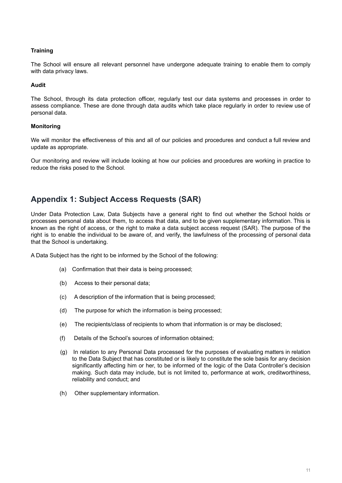# **Training**

The School will ensure all relevant personnel have undergone adequate training to enable them to comply with data privacy laws.

# **Audit**

The School, through its data protection officer, regularly test our data systems and processes in order to assess compliance. These are done through data audits which take place regularly in order to review use of personal data.

# **Monitoring**

We will monitor the effectiveness of this and all of our policies and procedures and conduct a full review and update as appropriate.

Our monitoring and review will include looking at how our policies and procedures are working in practice to reduce the risks posed to the School.

# **Appendix 1: Subject Access Requests (SAR)**

Under Data Protection Law, Data Subjects have a general right to find out whether the School holds or processes personal data about them, to access that data, and to be given supplementary information. This is known as the right of access, or the right to make a data subject access request (SAR). The purpose of the right is to enable the individual to be aware of, and verify, the lawfulness of the processing of personal data that the School is undertaking.

A Data Subject has the right to be informed by the School of the following:

- (a) Confirmation that their data is being processed;
- (b) Access to their personal data;
- (c) A description of the information that is being processed;
- (d) The purpose for which the information is being processed;
- (e) The recipients/class of recipients to whom that information is or may be disclosed;
- (f) Details of the School's sources of information obtained;
- (g) In relation to any Personal Data processed for the purposes of evaluating matters in relation to the Data Subject that has constituted or is likely to constitute the sole basis for any decision significantly affecting him or her, to be informed of the logic of the Data Controller's decision making. Such data may include, but is not limited to, performance at work, creditworthiness, reliability and conduct; and
- (h) Other supplementary information.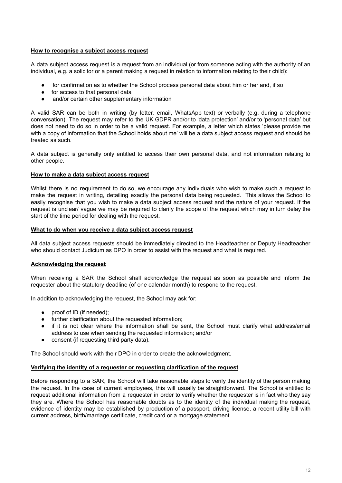# **How to recognise a subject access request**

A data subject access request is a request from an individual (or from someone acting with the authority of an individual, e.g. a solicitor or a parent making a request in relation to information relating to their child):

- for confirmation as to whether the School process personal data about him or her and, if so
- for access to that personal data
- and/or certain other supplementary information

A valid SAR can be both in writing (by letter, email, WhatsApp text) or verbally (e.g. during a telephone conversation). The request may refer to the UK GDPR and/or to 'data protection' and/or to 'personal data' but does not need to do so in order to be a valid request. For example, a letter which states 'please provide me with a copy of information that the School holds about me' will be a data subject access request and should be treated as such.

A data subject is generally only entitled to access their own personal data, and not information relating to other people.

# **How to make a data subject access request**

Whilst there is no requirement to do so, we encourage any individuals who wish to make such a request to make the request in writing, detailing exactly the personal data being requested. This allows the School to easily recognise that you wish to make a data subject access request and the nature of your request. If the request is unclear/ vague we may be required to clarify the scope of the request which may in turn delay the start of the time period for dealing with the request.

### **What to do when you receive a data subject access request**

All data subject access requests should be immediately directed to the Headteacher or Deputy Headteacher who should contact Judicium as DPO in order to assist with the request and what is required.

# **Acknowledging the request**

When receiving a SAR the School shall acknowledge the request as soon as possible and inform the requester about the statutory deadline (of one calendar month) to respond to the request.

In addition to acknowledging the request, the School may ask for:

- proof of ID (if needed):
- further clarification about the requested information;
- if it is not clear where the information shall be sent, the School must clarify what address/email address to use when sending the requested information; and/or
- consent (if requesting third party data).

The School should work with their DPO in order to create the acknowledgment.

# **Verifying the identity of a requester or requesting clarification of the request**

Before responding to a SAR, the School will take reasonable steps to verify the identity of the person making the request. In the case of current employees, this will usually be straightforward. The School is entitled to request additional information from a requester in order to verify whether the requester is in fact who they say they are. Where the School has reasonable doubts as to the identity of the individual making the request, evidence of identity may be established by production of a passport, driving license, a recent utility bill with current address, birth/marriage certificate, credit card or a mortgage statement.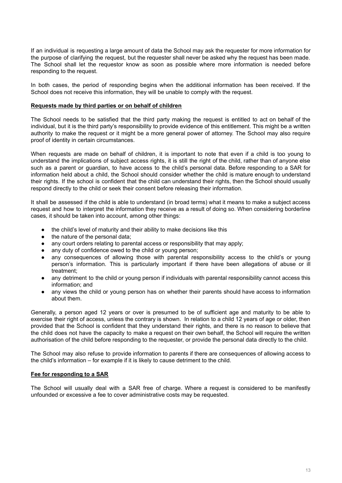If an individual is requesting a large amount of data the School may ask the requester for more information for the purpose of clarifying the request, but the requester shall never be asked why the request has been made. The School shall let the requestor know as soon as possible where more information is needed before responding to the request.

In both cases, the period of responding begins when the additional information has been received. If the School does not receive this information, they will be unable to comply with the request.

### **Requests made by third parties or on behalf of children**

The School needs to be satisfied that the third party making the request is entitled to act on behalf of the individual, but it is the third party's responsibility to provide evidence of this entitlement. This might be a written authority to make the request or it might be a more general power of attorney. The School may also require proof of identity in certain circumstances.

When requests are made on behalf of children, it is important to note that even if a child is too young to understand the implications of subject access rights, it is still the right of the child, rather than of anyone else such as a parent or guardian, to have access to the child's personal data. Before responding to a SAR for information held about a child, the School should consider whether the child is mature enough to understand their rights. If the school is confident that the child can understand their rights, then the School should usually respond directly to the child or seek their consent before releasing their information.

It shall be assessed if the child is able to understand (in broad terms) what it means to make a subject access request and how to interpret the information they receive as a result of doing so. When considering borderline cases, it should be taken into account, among other things:

- the child's level of maturity and their ability to make decisions like this
- the nature of the personal data:
- any court orders relating to parental access or responsibility that may apply;
- any duty of confidence owed to the child or young person;
- any consequences of allowing those with parental responsibility access to the child's or young person's information. This is particularly important if there have been allegations of abuse or ill treatment;
- any detriment to the child or young person if individuals with parental responsibility cannot access this information; and
- any views the child or young person has on whether their parents should have access to information about them.

Generally, a person aged 12 years or over is presumed to be of sufficient age and maturity to be able to exercise their right of access, unless the contrary is shown. In relation to a child 12 years of age or older, then provided that the School is confident that they understand their rights, and there is no reason to believe that the child does not have the capacity to make a request on their own behalf, the School will require the written authorisation of the child before responding to the requester, or provide the personal data directly to the child.

The School may also refuse to provide information to parents if there are consequences of allowing access to the child's information – for example if it is likely to cause detriment to the child.

# **Fee for responding to a SAR**

The School will usually deal with a SAR free of charge. Where a request is considered to be manifestly unfounded or excessive a fee to cover administrative costs may be requested.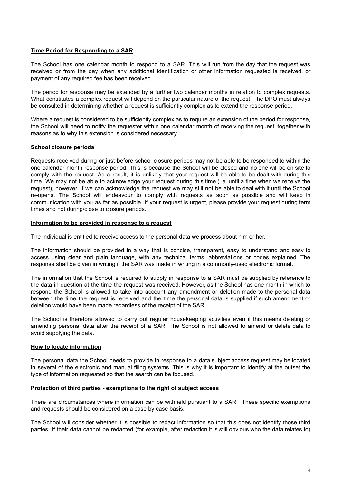### **Time Period for Responding to a SAR**

The School has one calendar month to respond to a SAR. This will run from the day that the request was received or from the day when any additional identification or other information requested is received, or payment of any required fee has been received.

The period for response may be extended by a further two calendar months in relation to complex requests. What constitutes a complex request will depend on the particular nature of the request. The DPO must always be consulted in determining whether a request is sufficiently complex as to extend the response period.

Where a request is considered to be sufficiently complex as to require an extension of the period for response, the School will need to notify the requester within one calendar month of receiving the request, together with reasons as to why this extension is considered necessary.

### **School closure periods**

Requests received during or just before school closure periods may not be able to be responded to within the one calendar month response period. This is because the School will be closed and no one will be on site to comply with the request. As a result, it is unlikely that your request will be able to be dealt with during this time. We may not be able to acknowledge your request during this time (i.e. until a time when we receive the request), however, if we can acknowledge the request we may still not be able to deal with it until the School re-opens. The School will endeavour to comply with requests as soon as possible and will keep in communication with you as far as possible. If your request is urgent, please provide your request during term times and not during/close to closure periods.

# **Information to be provided in response to a request**

The individual is entitled to receive access to the personal data we process about him or her.

The information should be provided in a way that is concise, transparent, easy to understand and easy to access using clear and plain language, with any technical terms, abbreviations or codes explained. The response shall be given in writing if the SAR was made in writing in a commonly-used electronic format.

The information that the School is required to supply in response to a SAR must be supplied by reference to the data in question at the time the request was received. However, as the School has one month in which to respond the School is allowed to take into account any amendment or deletion made to the personal data between the time the request is received and the time the personal data is supplied if such amendment or deletion would have been made regardless of the receipt of the SAR.

The School is therefore allowed to carry out regular housekeeping activities even if this means deleting or amending personal data after the receipt of a SAR. The School is not allowed to amend or delete data to avoid supplying the data.

# **How to locate information**

The personal data the School needs to provide in response to a data subject access request may be located in several of the electronic and manual filing systems. This is why it is important to identify at the outset the type of information requested so that the search can be focused.

### **Protection of third parties - exemptions to the right of subject access**

There are circumstances where information can be withheld pursuant to a SAR. These specific exemptions and requests should be considered on a case by case basis.

The School will consider whether it is possible to redact information so that this does not identify those third parties. If their data cannot be redacted (for example, after redaction it is still obvious who the data relates to)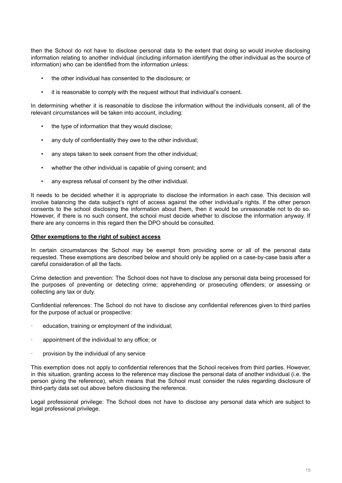then the School do not have to disclose personal data to the extent that doing so would involve disclosing information relating to another individual (including information identifying the other individual as the source of information) who can be identified from the information unless:

- the other individual has consented to the disclosure; or
- it is reasonable to comply with the request without that individual's consent.

In determining whether it is reasonable to disclose the information without the individuals consent, all of the relevant circumstances will be taken into account, including:

- the type of information that they would disclose;
- any duty of confidentiality they owe to the other individual;
- any steps taken to seek consent from the other individual;
- whether the other individual is capable of giving consent; and
- any express refusal of consent by the other individual.

It needs to be decided whether it is appropriate to disclose the information in each case. This decision will involve balancing the data subject's right of access against the other individual's rights. If the other person consents to the school disclosing the information about them, then it would be unreasonable not to do so. However, if there is no such consent, the school must decide whether to disclose the information anyway. If there are any concerns in this regard then the DPO should be consulted.

### **Other exemptions to the right of subject access**

In certain circumstances the School may be exempt from providing some or all of the personal data requested. These exemptions are described below and should only be applied on a case-by-case basis after a careful consideration of all the facts.

Crime detection and prevention: The School does not have to disclose any personal data being processed for the purposes of preventing or detecting crime; apprehending or prosecuting offenders; or assessing or collecting any tax or duty.

Confidential references: The School do not have to disclose any confidential references given to third parties for the purpose of actual or prospective:

- education, training or employment of the individual;
- appointment of the individual to any office; or
- provision by the individual of any service

This exemption does not apply to confidential references that the School receives from third parties. However, in this situation, granting access to the reference may disclose the personal data of another individual (i.e. the person giving the reference), which means that the School must consider the rules regarding disclosure of third-party data set out above before disclosing the reference.

Legal professional privilege: The School does not have to disclose any personal data which are subject to legal professional privilege.